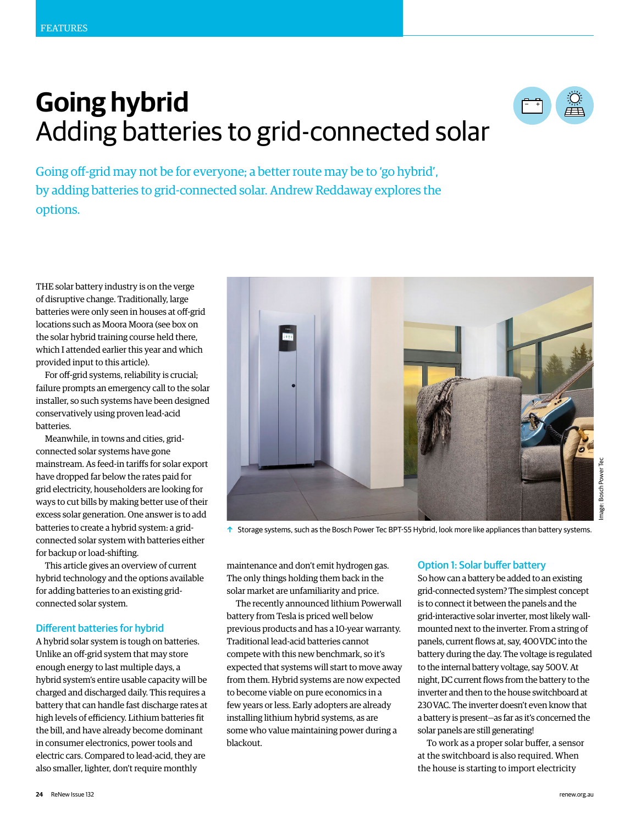# **Going hybrid** Adding batteries to grid-connected solar



Going off-grid may not be for everyone; a better route may be to 'go hybrid', by adding batteries to grid-connected solar. Andrew Reddaway explores the options.

THE solar battery industry is on the verge of disruptive change. Traditionally, large batteries were only seen in houses at off-grid locations such as Moora Moora (see box on the solar hybrid training course held there, which I attended earlier this year and which provided input to this article).

For off-grid systems, reliability is crucial; failure prompts an emergency call to the solar installer, so such systems have been designed conservatively using proven lead-acid batteries.

Meanwhile, in towns and cities, gridconnected solar systems have gone mainstream. As feed-in tariffs for solar export have dropped far below the rates paid for grid electricity, householders are looking for ways to cut bills by making better use of their excess solar generation. One answer is to add batteries to create a hybrid system: a gridconnected solar system with batteries either for backup or load-shifting.

This article gives an overview of current hybrid technology and the options available for adding batteries to an existing gridconnected solar system.

#### Different batteries for hybrid

A hybrid solar system is tough on batteries. Unlike an off-grid system that may store enough energy to last multiple days, a hybrid system's entire usable capacity will be charged and discharged daily. This requires a battery that can handle fast discharge rates at high levels of efficiency. Lithium batteries fit the bill, and have already become dominant in consumer electronics, power tools and electric cars. Compared to lead-acid, they are also smaller, lighter, don't require monthly



 $\uparrow$  Storage systems, such as the Bosch Power Tec BPT-S5 Hybrid, look more like appliances than battery systems.

maintenance and don't emit hydrogen gas. The only things holding them back in the solar market are unfamiliarity and price.

The recently announced lithium Powerwall battery from Tesla is priced well below previous products and has a 10-year warranty. Traditional lead-acid batteries cannot compete with this new benchmark, so it's expected that systems will start to move away from them. Hybrid systems are now expected to become viable on pure economics in a few years or less. Early adopters are already installing lithium hybrid systems, as are some who value maintaining power during a blackout.

## Option 1: Solar buffer battery

So how can a battery be added to an existing grid-connected system? The simplest concept is to connect it between the panels and the grid-interactive solar inverter, most likely wallmounted next to the inverter. From a string of panels, current flows at, say, 400 VDC into the battery during the day. The voltage is regulated to the internal battery voltage, say 500 V. At night, DC current flows from the battery to the inverter and then to the house switchboard at 230 VAC. The inverter doesn't even know that a battery is present—as far as it's concerned the solar panels are still generating!

To work as a proper solar buffer, a sensor at the switchboard is also required. When the house is starting to import electricity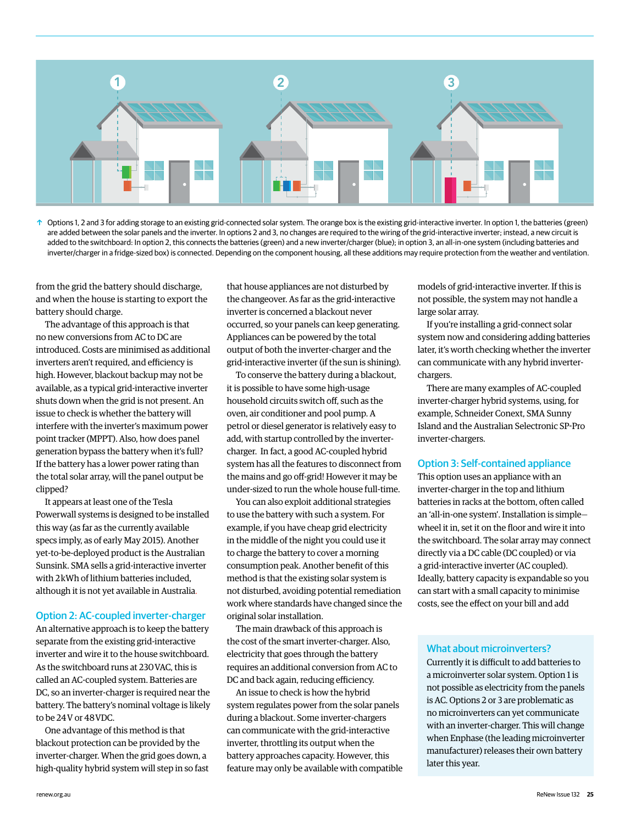

 $\uparrow$  Options 1, 2 and 3 for adding storage to an existing grid-connected solar system. The orange box is the existing grid-interactive inverter. In option 1, the batteries (green) are added between the solar panels and the inverter. In options 2 and 3, no changes are required to the wiring of the grid-interactive inverter; instead, a new circuit is added to the switchboard: In option 2, this connects the batteries (green) and a new inverter/charger (blue); in option 3, an all-in-one system (including batteries and inverter/charger in a fridge-sized box) is connected. Depending on the component housing, all these additions may require protection from the weather and ventilation.

from the grid the battery should discharge, and when the house is starting to export the battery should charge.

The advantage of this approach is that no new conversions from AC to DC are introduced. Costs are minimised as additional inverters aren't required, and efficiency is high. However, blackout backup may not be available, as a typical grid-interactive inverter shuts down when the grid is not present. An issue to check is whether the battery will interfere with the inverter's maximum power point tracker (MPPT). Also, how does panel generation bypass the battery when it's full? If the battery has a lower power rating than the total solar array, will the panel output be clipped?

It appears at least one of the Tesla Powerwall systems is designed to be installed this way (as far as the currently available specs imply, as of early May 2015). Another yet-to-be-deployed product is the Australian Sunsink. SMA sells a grid-interactive inverter with 2 kWh of lithium batteries included, although it is not yet available in Australia.

## Option 2: AC-coupled inverter-charger

An alternative approach is to keep the battery separate from the existing grid-interactive inverter and wire it to the house switchboard. As the switchboard runs at 230 VAC, this is called an AC-coupled system. Batteries are DC, so an inverter-charger is required near the battery. The battery's nominal voltage is likely to be 24 V or 48 VDC.

One advantage of this method is that blackout protection can be provided by the inverter-charger. When the grid goes down, a high-quality hybrid system will step in so fast that house appliances are not disturbed by the changeover. As far as the grid-interactive inverter is concerned a blackout never occurred, so your panels can keep generating. Appliances can be powered by the total output of both the inverter-charger and the grid-interactive inverter (if the sun is shining).

To conserve the battery during a blackout, it is possible to have some high-usage household circuits switch off, such as the oven, air conditioner and pool pump. A petrol or diesel generator is relatively easy to add, with startup controlled by the invertercharger. In fact, a good AC-coupled hybrid system has all the features to disconnect from the mains and go off-grid! However it may be under-sized to run the whole house full-time.

You can also exploit additional strategies to use the battery with such a system. For example, if you have cheap grid electricity in the middle of the night you could use it to charge the battery to cover a morning consumption peak. Another benefit of this method is that the existing solar system is not disturbed, avoiding potential remediation work where standards have changed since the original solar installation.

The main drawback of this approach is the cost of the smart inverter-charger. Also, electricity that goes through the battery requires an additional conversion from AC to DC and back again, reducing efficiency.

An issue to check is how the hybrid system regulates power from the solar panels during a blackout. Some inverter-chargers can communicate with the grid-interactive inverter, throttling its output when the battery approaches capacity. However, this feature may only be available with compatible models of grid-interactive inverter. If this is not possible, the system may not handle a large solar array.

If you're installing a grid-connect solar system now and considering adding batteries later, it's worth checking whether the inverter can communicate with any hybrid inverterchargers.

There are many examples of AC-coupled inverter-charger hybrid systems, using, for example, Schneider Conext, SMA Sunny Island and the Australian Selectronic SP-Pro inverter-chargers.

## Option 3: Self-contained appliance

This option uses an appliance with an inverter-charger in the top and lithium batteries in racks at the bottom, often called an 'all-in-one system'. Installation is simple wheel it in, set it on the floor and wire it into the switchboard. The solar array may connect directly via a DC cable (DC coupled) or via a grid-interactive inverter (AC coupled). Ideally, battery capacity is expandable so you can start with a small capacity to minimise costs, see the effect on your bill and add

## What about microinverters?

Currently it is difficult to add batteries to a microinverter solar system. Option 1 is not possible as electricity from the panels is AC. Options 2 or 3 are problematic as no microinverters can yet communicate with an inverter-charger. This will change when Enphase (the leading microinverter manufacturer) releases their own battery later this year.